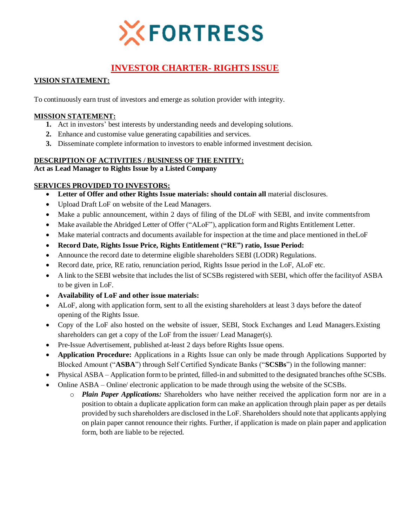

# **INVESTOR CHARTER- RIGHTS ISSUE**

# **VISION STATEMENT:**

To continuously earn trust of investors and emerge as solution provider with integrity.

## **MISSION STATEMENT:**

- **1.** Act in investors' best interests by understanding needs and developing solutions.
- **2.** Enhance and customise value generating capabilities and services.
- **3.** Disseminate complete information to investors to enable informed investment decision.

# **DESCRIPTION OF ACTIVITIES / BUSINESS OF THE ENTITY:**

## **Act as Lead Manager to Rights Issue by a Listed Company**

## **SERVICES PROVIDED TO INVESTORS:**

- **Letter of Offer and other Rights Issue materials: should contain all** material disclosures.
- Upload Draft LoF on website of the Lead Managers.
- Make a public announcement, within 2 days of filing of the DLoF with SEBI, and invite commentsfrom
- Make available the Abridged Letter of Offer ("ALoF"), application form and Rights Entitlement Letter.
- Make material contracts and documents available for inspection at the time and place mentioned in theLoF
- **Record Date, Rights Issue Price, Rights Entitlement ("RE") ratio, Issue Period:**
- Announce the record date to determine eligible shareholders SEBI (LODR) Regulations.
- Record date, price, RE ratio, renunciation period, Rights Issue period in the LoF, ALoF etc.
- A link to the SEBI website that includes the list of SCSBs registered with SEBI, which offer the facilityof ASBA to be given in LoF.
- **Availability of LoF and other issue materials:**
- ALoF, along with application form, sent to all the existing shareholders at least 3 days before the dateof opening of the Rights Issue.
- Copy of the LoF also hosted on the website of issuer, SEBI, Stock Exchanges and Lead Managers.Existing shareholders can get a copy of the LoF from the issuer/ Lead Manager(s).
- Pre-Issue Advertisement, published at-least 2 days before Rights Issue opens.
- **Application Procedure:** Applications in a Rights Issue can only be made through Applications Supported by Blocked Amount ("**ASBA**") through Self Certified Syndicate Banks ("**SCSBs**") in the following manner:
- Physical ASBA Application form to be printed, filled-in and submitted to the designated branches ofthe SCSBs.
- Online ASBA Online/ electronic application to be made through using the website of the SCSBs.
	- o *Plain Paper Applications:* Shareholders who have neither received the application form nor are in a position to obtain a duplicate application form can make an application through plain paper as per details provided by such shareholders are disclosed in the LoF. Shareholders should note that applicants applying on plain paper cannot renounce their rights. Further, if application is made on plain paper and application form, both are liable to be rejected.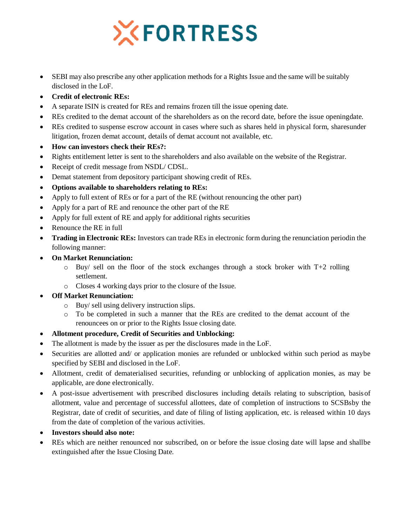# **XFORTRESS**

- SEBI may also prescribe any other application methods for a Rights Issue and the same will be suitably disclosed in the LoF.
- **Credit of electronic REs:**
- A separate ISIN is created for REs and remains frozen till the issue opening date.
- REs credited to the demat account of the shareholders as on the record date, before the issue openingdate.
- REs credited to suspense escrow account in cases where such as shares held in physical form, sharesunder litigation, frozen demat account, details of demat account not available, etc.
- **How can investors check their REs?:**
- Rights entitlement letter is sent to the shareholders and also available on the website of the Registrar.
- Receipt of credit message from NSDL/ CDSL.
- Demat statement from depository participant showing credit of REs.
- **Options available to shareholders relating to REs:**
- Apply to full extent of REs or for a part of the RE (without renouncing the other part)
- Apply for a part of RE and renounce the other part of the RE
- Apply for full extent of RE and apply for additional rights securities
- Renounce the RE in full
- **Trading in Electronic REs:** Investors can trade REs in electronic form during the renunciation periodin the following manner:
- **On Market Renunciation:**
	- $\circ$  Buy/ sell on the floor of the stock exchanges through a stock broker with T+2 rolling settlement.
	- o Closes 4 working days prior to the closure of the Issue.
- **Off Market Renunciation:**
	- o Buy/ sell using delivery instruction slips.
	- o To be completed in such a manner that the REs are credited to the demat account of the renouncees on or prior to the Rights Issue closing date.
- **Allotment procedure, Credit of Securities and Unblocking:**
- The allotment is made by the issuer as per the disclosures made in the LoF.
- Securities are allotted and/ or application monies are refunded or unblocked within such period as maybe specified by SEBI and disclosed in the LoF.
- Allotment, credit of dematerialised securities, refunding or unblocking of application monies, as may be applicable, are done electronically.
- A post-issue advertisement with prescribed disclosures including details relating to subscription, basisof allotment, value and percentage of successful allottees, date of completion of instructions to SCSBsby the Registrar, date of credit of securities, and date of filing of listing application, etc. is released within 10 days from the date of completion of the various activities.
- **Investors should also note:**
- REs which are neither renounced nor subscribed, on or before the issue closing date will lapse and shallbe extinguished after the Issue Closing Date.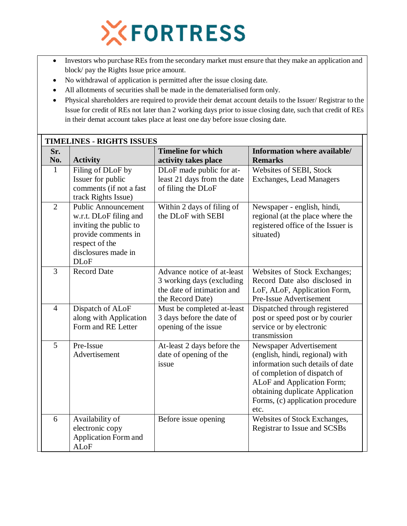

- Investors who purchase REs from the secondary market must ensure that they make an application and block/ pay the Rights Issue price amount.
- No withdrawal of application is permitted after the issue closing date.
- All allotments of securities shall be made in the dematerialised form only.
- Physical shareholders are required to provide their demat account details to the Issuer/ Registrar to the Issue for credit of REs not later than 2 working days prior to issue closing date, such that credit of REs in their demat account takes place at least one day before issue closing date.

|                | <b>TIMELINES - RIGHTS ISSUES</b>                                                                                                                              |                                                                                                           |                                                                                                                                                                                                                                             |  |  |  |  |
|----------------|---------------------------------------------------------------------------------------------------------------------------------------------------------------|-----------------------------------------------------------------------------------------------------------|---------------------------------------------------------------------------------------------------------------------------------------------------------------------------------------------------------------------------------------------|--|--|--|--|
| Sr.<br>No.     | <b>Activity</b>                                                                                                                                               | <b>Timeline for which</b><br>activity takes place                                                         | Information where available/<br><b>Remarks</b>                                                                                                                                                                                              |  |  |  |  |
| $\mathbf{1}$   | Filing of DLoF by<br>Issuer for public<br>comments (if not a fast<br>track Rights Issue)                                                                      | DLoF made public for at-<br>least 21 days from the date<br>of filing the DLoF                             | Websites of SEBI, Stock<br><b>Exchanges, Lead Managers</b>                                                                                                                                                                                  |  |  |  |  |
| $\overline{2}$ | <b>Public Announcement</b><br>w.r.t. DLoF filing and<br>inviting the public to<br>provide comments in<br>respect of the<br>disclosures made in<br><b>DLoF</b> | Within 2 days of filing of<br>the DLoF with SEBI                                                          | Newspaper - english, hindi,<br>regional (at the place where the<br>registered office of the Issuer is<br>situated)                                                                                                                          |  |  |  |  |
| 3              | <b>Record Date</b>                                                                                                                                            | Advance notice of at-least<br>3 working days (excluding<br>the date of intimation and<br>the Record Date) | Websites of Stock Exchanges;<br>Record Date also disclosed in<br>LoF, ALoF, Application Form,<br>Pre-Issue Advertisement                                                                                                                    |  |  |  |  |
| $\overline{4}$ | Dispatch of ALoF<br>along with Application<br>Form and RE Letter                                                                                              | Must be completed at-least<br>3 days before the date of<br>opening of the issue                           | Dispatched through registered<br>post or speed post or by courier<br>service or by electronic<br>transmission                                                                                                                               |  |  |  |  |
| 5              | Pre-Issue<br>Advertisement                                                                                                                                    | At-least 2 days before the<br>date of opening of the<br>issue                                             | Newspaper Advertisement<br>(english, hindi, regional) with<br>information such details of date<br>of completion of dispatch of<br>ALoF and Application Form;<br>obtaining duplicate Application<br>Forms, (c) application procedure<br>etc. |  |  |  |  |
| 6              | Availability of<br>electronic copy<br><b>Application Form and</b><br><b>ALoF</b>                                                                              | Before issue opening                                                                                      | Websites of Stock Exchanges,<br>Registrar to Issue and SCSBs                                                                                                                                                                                |  |  |  |  |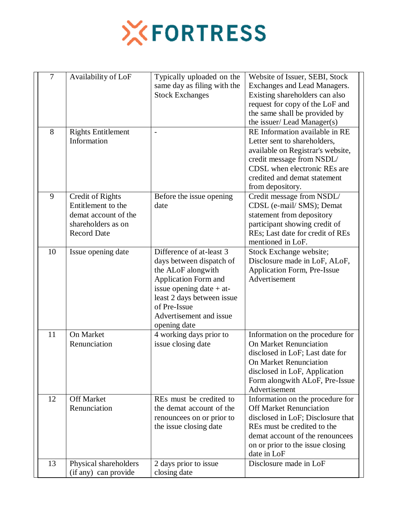

| 7  | Availability of LoF                                                                                        | Typically uploaded on the<br>same day as filing with the<br><b>Stock Exchanges</b>                                                                                                                                               | Website of Issuer, SEBI, Stock<br>Exchanges and Lead Managers.<br>Existing shareholders can also<br>request for copy of the LoF and<br>the same shall be provided by<br>the issuer/ Lead Manager(s)                          |  |
|----|------------------------------------------------------------------------------------------------------------|----------------------------------------------------------------------------------------------------------------------------------------------------------------------------------------------------------------------------------|------------------------------------------------------------------------------------------------------------------------------------------------------------------------------------------------------------------------------|--|
| 8  | <b>Rights Entitlement</b><br>Information                                                                   |                                                                                                                                                                                                                                  | RE Information available in RE<br>Letter sent to shareholders,<br>available on Registrar's website,<br>credit message from NSDL/<br>CDSL when electronic REs are<br>credited and demat statement<br>from depository.         |  |
| 9  | Credit of Rights<br>Entitlement to the<br>demat account of the<br>shareholders as on<br><b>Record Date</b> | Before the issue opening<br>date                                                                                                                                                                                                 | Credit message from NSDL/<br>CDSL (e-mail/ SMS); Demat<br>statement from depository<br>participant showing credit of<br>REs; Last date for credit of REs<br>mentioned in LoF.                                                |  |
| 10 | Issue opening date                                                                                         | Difference of at-least 3<br>days between dispatch of<br>the ALoF alongwith<br><b>Application Form and</b><br>issue opening date $+$ at-<br>least 2 days between issue<br>of Pre-Issue<br>Advertisement and issue<br>opening date | Stock Exchange website;<br>Disclosure made in LoF, ALoF,<br>Application Form, Pre-Issue<br>Advertisement                                                                                                                     |  |
| 11 | <b>On Market</b><br>Renunciation                                                                           | 4 working days prior to<br>issue closing date                                                                                                                                                                                    | Information on the procedure for<br><b>On Market Renunciation</b><br>disclosed in LoF; Last date for<br><b>On Market Renunciation</b><br>disclosed in LoF, Application<br>Form alongwith ALoF, Pre-Issue<br>Advertisement    |  |
| 12 | <b>Off Market</b><br>Renunciation                                                                          | REs must be credited to<br>the demat account of the<br>renouncees on or prior to<br>the issue closing date                                                                                                                       | Information on the procedure for<br><b>Off Market Renunciation</b><br>disclosed in LoF; Disclosure that<br>REs must be credited to the<br>demat account of the renouncees<br>on or prior to the issue closing<br>date in LoF |  |
| 13 | Physical shareholders<br>(if any) can provide                                                              | 2 days prior to issue<br>closing date                                                                                                                                                                                            | Disclosure made in LoF                                                                                                                                                                                                       |  |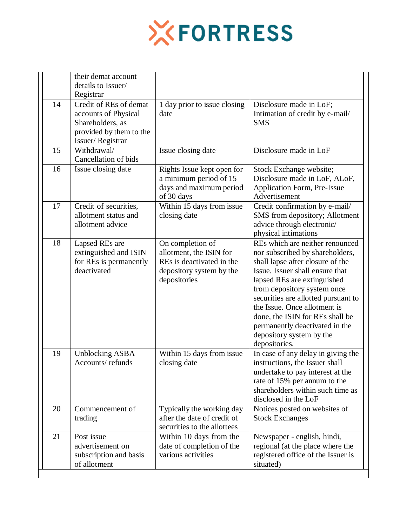

|    | their demat account<br>details to Issuer/<br>Registrar                                                            |                                                                                                                      |                                                                                                                                                                                                                                                                                                                                                                                                  |
|----|-------------------------------------------------------------------------------------------------------------------|----------------------------------------------------------------------------------------------------------------------|--------------------------------------------------------------------------------------------------------------------------------------------------------------------------------------------------------------------------------------------------------------------------------------------------------------------------------------------------------------------------------------------------|
| 14 | Credit of REs of demat<br>accounts of Physical<br>Shareholders, as<br>provided by them to the<br>Issuer/Registrar | 1 day prior to issue closing<br>date                                                                                 | Disclosure made in LoF;<br>Intimation of credit by e-mail/<br><b>SMS</b>                                                                                                                                                                                                                                                                                                                         |
| 15 | Withdrawal/<br>Cancellation of bids                                                                               | Issue closing date                                                                                                   | Disclosure made in LoF                                                                                                                                                                                                                                                                                                                                                                           |
| 16 | Issue closing date                                                                                                | Rights Issue kept open for<br>a minimum period of 15<br>days and maximum period<br>of 30 days                        | Stock Exchange website;<br>Disclosure made in LoF, ALoF,<br>Application Form, Pre-Issue<br>Advertisement                                                                                                                                                                                                                                                                                         |
| 17 | Credit of securities,<br>allotment status and<br>allotment advice                                                 | Within 15 days from issue<br>closing date                                                                            | Credit confirmation by e-mail/<br>SMS from depository; Allotment<br>advice through electronic/<br>physical intimations                                                                                                                                                                                                                                                                           |
| 18 | Lapsed REs are<br>extinguished and ISIN<br>for REs is permanently<br>deactivated                                  | On completion of<br>allotment, the ISIN for<br>REs is deactivated in the<br>depository system by the<br>depositories | REs which are neither renounced<br>nor subscribed by shareholders,<br>shall lapse after closure of the<br>Issue. Issuer shall ensure that<br>lapsed REs are extinguished<br>from depository system once<br>securities are allotted pursuant to<br>the Issue. Once allotment is<br>done, the ISIN for REs shall be<br>permanently deactivated in the<br>depository system by the<br>depositories. |
| 19 | <b>Unblocking ASBA</b><br>Accounts/refunds                                                                        | Within 15 days from issue<br>closing date                                                                            | In case of any delay in giving the<br>instructions, the Issuer shall<br>undertake to pay interest at the<br>rate of 15% per annum to the<br>shareholders within such time as<br>disclosed in the LoF                                                                                                                                                                                             |
| 20 | Commencement of<br>trading                                                                                        | Typically the working day<br>after the date of credit of<br>securities to the allottees                              | Notices posted on websites of<br><b>Stock Exchanges</b>                                                                                                                                                                                                                                                                                                                                          |
| 21 | Post issue<br>advertisement on<br>subscription and basis<br>of allotment                                          | Within 10 days from the<br>date of completion of the<br>various activities                                           | Newspaper - english, hindi,<br>regional (at the place where the<br>registered office of the Issuer is<br>situated)                                                                                                                                                                                                                                                                               |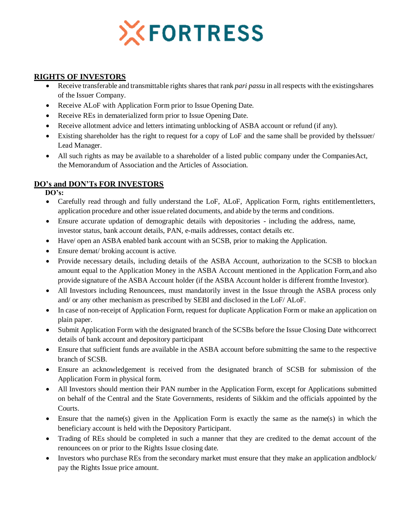

## **RIGHTS OF INVESTORS**

- Receive transferable and transmittable rights shares that rank *pari passu* in all respects with the existingshares of the Issuer Company.
- Receive ALoF with Application Form prior to Issue Opening Date.
- Receive REs in dematerialized form prior to Issue Opening Date.
- Receive allotment advice and letters intimating unblocking of ASBA account or refund (if any).
- Existing shareholder has the right to request for a copy of LoF and the same shall be provided by theIssuer/ Lead Manager.
- All such rights as may be available to a shareholder of a listed public company under the CompaniesAct, the Memorandum of Association and the Articles of Association.

# **DO's and DON'Ts FOR INVESTORS**

**DO's:**

- Carefully read through and fully understand the LoF, ALoF, Application Form, rights entitlementletters, application procedure and other issue related documents, and abide by the terms and conditions.
- Ensure accurate updation of demographic details with depositories including the address, name, investor status, bank account details, PAN, e-mails addresses, contact details etc.
- Have/ open an ASBA enabled bank account with an SCSB, prior to making the Application.
- Ensure demat/ broking account is active.
- Provide necessary details, including details of the ASBA Account, authorization to the SCSB to blockan amount equal to the Application Money in the ASBA Account mentioned in the Application Form,and also provide signature of the ASBA Account holder (if the ASBA Account holder is different fromthe Investor).
- All Investors including Renouncees, must mandatorily invest in the Issue through the ASBA process only and/ or any other mechanism as prescribed by SEBI and disclosed in the LoF/ ALoF.
- In case of non-receipt of Application Form, request for duplicate Application Form or make an application on plain paper.
- Submit Application Form with the designated branch of the SCSBs before the Issue Closing Date withcorrect details of bank account and depository participant
- Ensure that sufficient funds are available in the ASBA account before submitting the same to the respective branch of SCSB.
- Ensure an acknowledgement is received from the designated branch of SCSB for submission of the Application Form in physical form.
- All Investors should mention their PAN number in the Application Form, except for Applications submitted on behalf of the Central and the State Governments, residents of Sikkim and the officials appointed by the Courts.
- Ensure that the name(s) given in the Application Form is exactly the same as the name(s) in which the beneficiary account is held with the Depository Participant.
- Trading of REs should be completed in such a manner that they are credited to the demat account of the renouncees on or prior to the Rights Issue closing date.
- Investors who purchase REs from the secondary market must ensure that they make an application and block/ pay the Rights Issue price amount.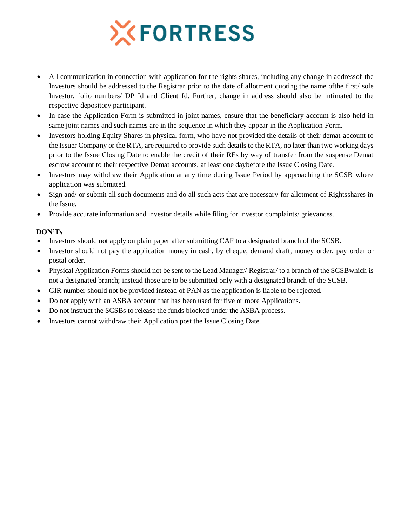# **XFORTRESS**

- All communication in connection with application for the rights shares, including any change in addressof the Investors should be addressed to the Registrar prior to the date of allotment quoting the name ofthe first/ sole Investor, folio numbers/ DP Id and Client Id. Further, change in address should also be intimated to the respective depository participant.
- In case the Application Form is submitted in joint names, ensure that the beneficiary account is also held in same joint names and such names are in the sequence in which they appear in the Application Form.
- Investors holding Equity Shares in physical form, who have not provided the details of their demat account to the Issuer Company or the RTA, are required to provide such details to the RTA, no later than two working days prior to the Issue Closing Date to enable the credit of their REs by way of transfer from the suspense Demat escrow account to their respective Demat accounts, at least one daybefore the Issue Closing Date.
- Investors may withdraw their Application at any time during Issue Period by approaching the SCSB where application was submitted.
- Sign and/ or submit all such documents and do all such acts that are necessary for allotment of Rightsshares in the Issue.
- Provide accurate information and investor details while filing for investor complaints/ grievances.

### **DON'Ts**

- Investors should not apply on plain paper after submitting CAF to a designated branch of the SCSB.
- Investor should not pay the application money in cash, by cheque, demand draft, money order, pay order or postal order.
- Physical Application Forms should not be sent to the Lead Manager/ Registrar/ to a branch of the SCSBwhich is not a designated branch; instead those are to be submitted only with a designated branch of the SCSB.
- GIR number should not be provided instead of PAN as the application is liable to be rejected.
- Do not apply with an ASBA account that has been used for five or more Applications.
- Do not instruct the SCSBs to release the funds blocked under the ASBA process.
- Investors cannot withdraw their Application post the Issue Closing Date.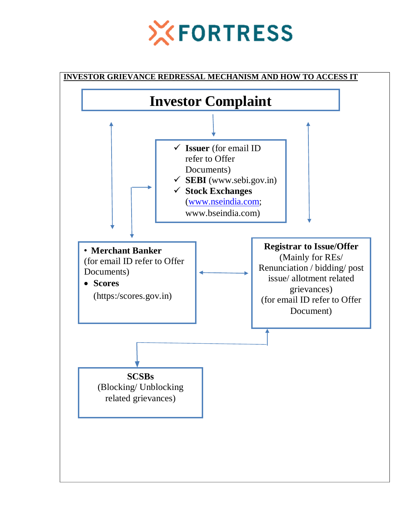

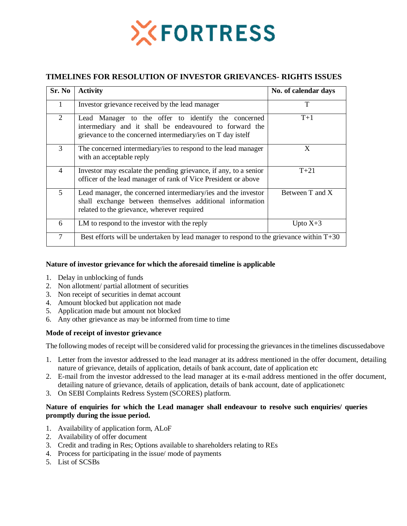

# **TIMELINES FOR RESOLUTION OF INVESTOR GRIEVANCES- RIGHTS ISSUES**

| Sr. No         | <b>Activity</b>                                                                                                                                                               | No. of calendar days |  |
|----------------|-------------------------------------------------------------------------------------------------------------------------------------------------------------------------------|----------------------|--|
| 1              | Investor grievance received by the lead manager                                                                                                                               | T                    |  |
| 2              | Lead Manager to the offer to identify the concerned<br>intermediary and it shall be endeavoured to forward the<br>grievance to the concerned intermediary/ies on T day istelf | $T+1$                |  |
| 3              | The concerned intermediary/ies to respond to the lead manager<br>with an acceptable reply                                                                                     | X                    |  |
| $\overline{4}$ | Investor may escalate the pending grievance, if any, to a senior<br>officer of the lead manager of rank of Vice President or above                                            | $T+21$               |  |
| 5              | Lead manager, the concerned intermediary/ies and the investor<br>shall exchange between themselves additional information<br>related to the grievance, wherever required      | Between T and X      |  |
| 6              | LM to respond to the investor with the reply                                                                                                                                  | Upto $X+3$           |  |
| $\tau$         | Best efforts will be undertaken by lead manager to respond to the grievance within $T+30$                                                                                     |                      |  |

#### **Nature of investor grievance for which the aforesaid timeline is applicable**

- 1. Delay in unblocking of funds
- 2. Non allotment/ partial allotment of securities
- 3. Non receipt of securities in demat account
- 4. Amount blocked but application not made
- 5. Application made but amount not blocked
- 6. Any other grievance as may be informed from time to time

#### **Mode of receipt of investor grievance**

The following modes of receipt will be considered valid for processing the grievances in the timelines discussedabove

- 1. Letter from the investor addressed to the lead manager at its address mentioned in the offer document, detailing nature of grievance, details of application, details of bank account, date of application etc
- 2. E-mail from the investor addressed to the lead manager at its e-mail address mentioned in the offer document, detailing nature of grievance, details of application, details of bank account, date of applicationetc
- 3. On SEBI Complaints Redress System (SCORES) platform.

#### **Nature of enquiries for which the Lead manager shall endeavour to resolve such enquiries/ queries promptly during the issue period.**

- 1. Availability of application form, ALoF
- 2. Availability of offer document
- 3. Credit and trading in Res; Options available to shareholders relating to REs
- 4. Process for participating in the issue/ mode of payments
- 5. List of SCSBs